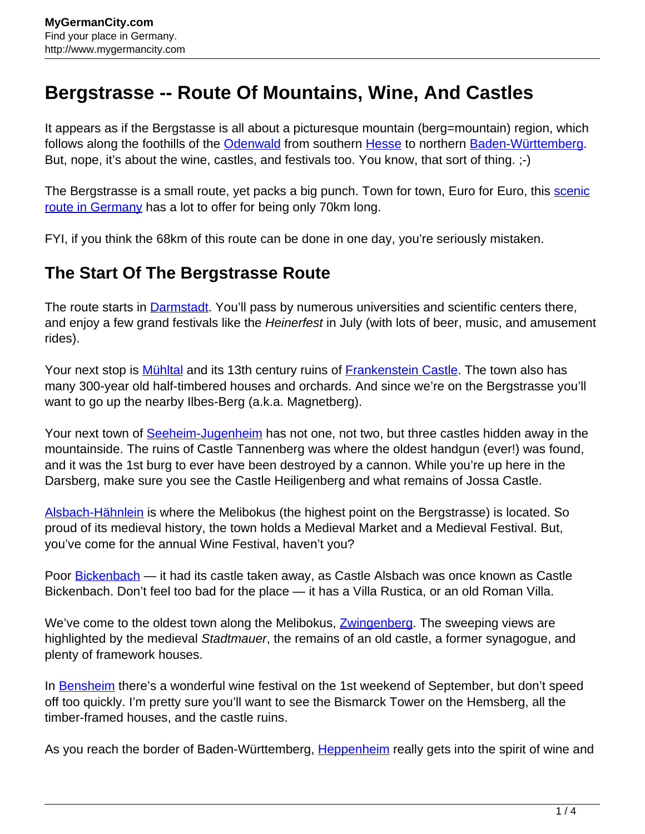## **Bergstrasse -- Route Of Mountains, Wine, And Castles**

It appears as if the Bergstasse is all about a picturesque mountain (berg=mountain) region, which follows along the foothills of the [Odenwald](http://www.mygermancity.com/odenwald) from southern [Hesse](http://www.mygermancity.com/hesse) to northern [Baden-Württemberg](http://www.mygermancity.com/baden-wuerttemberg). But, nope, it's about the wine, castles, and festivals too. You know, that sort of thing. :-)

The Bergstrasse is a small route, yet packs a big punch. Town for town, Euro for Euro, this [scenic](http://www.mygermancity.com/scenic-routes-germany) [route in Germany](http://www.mygermancity.com/scenic-routes-germany) has a lot to offer for being only 70km long.

FYI, if you think the 68km of this route can be done in one day, you're seriously mistaken.

## **The Start Of The Bergstrasse Route**

The route starts in **Darmstadt**. You'll pass by numerous universities and scientific centers there, and enjoy a few grand festivals like the Heinerfest in July (with lots of beer, music, and amusement rides).

Your next stop is **Mühltal** and its 13th century ruins of **Frankenstein Castle**. The town also has many 300-year old half-timbered houses and orchards. And since we're on the Bergstrasse you'll want to go up the nearby Ilbes-Berg (a.k.a. Magnetberg).

Your next town of [Seeheim-Jugenheim](http://www.mygermancity.com/seeheim-jugenheim) has not one, not two, but three castles hidden away in the mountainside. The ruins of Castle Tannenberg was where the oldest handgun (ever!) was found, and it was the 1st burg to ever have been destroyed by a cannon. While you're up here in the Darsberg, make sure you see the Castle Heiligenberg and what remains of Jossa Castle.

[Alsbach-Hähnlein](http://www.mygermancity.com/alsbach-haehnlein) is where the Melibokus (the highest point on the Bergstrasse) is located. So proud of its medieval history, the town holds a Medieval Market and a Medieval Festival. But, you've come for the annual Wine Festival, haven't you?

Poor [Bickenbach](http://www.mygermancity.com/bickenbach-bergstrasse) — it had its castle taken away, as Castle Alsbach was once known as Castle Bickenbach. Don't feel too bad for the place — it has a Villa Rustica, or an old Roman Villa.

We've come to the oldest town along the Melibokus, [Zwingenberg.](http://www.mygermancity.com/zwingenberg-bergstrasse) The sweeping views are highlighted by the medieval Stadtmauer, the remains of an old castle, a former synagogue, and plenty of framework houses.

In [Bensheim](http://www.mygermancity.com/bensheim) there's a wonderful wine festival on the 1st weekend of September, but don't speed off too quickly. I'm pretty sure you'll want to see the Bismarck Tower on the Hemsberg, all the timber-framed houses, and the castle ruins.

As you reach the border of Baden-Württemberg, [Heppenheim](http://www.mygermancity.com/heppenheim) really gets into the spirit of wine and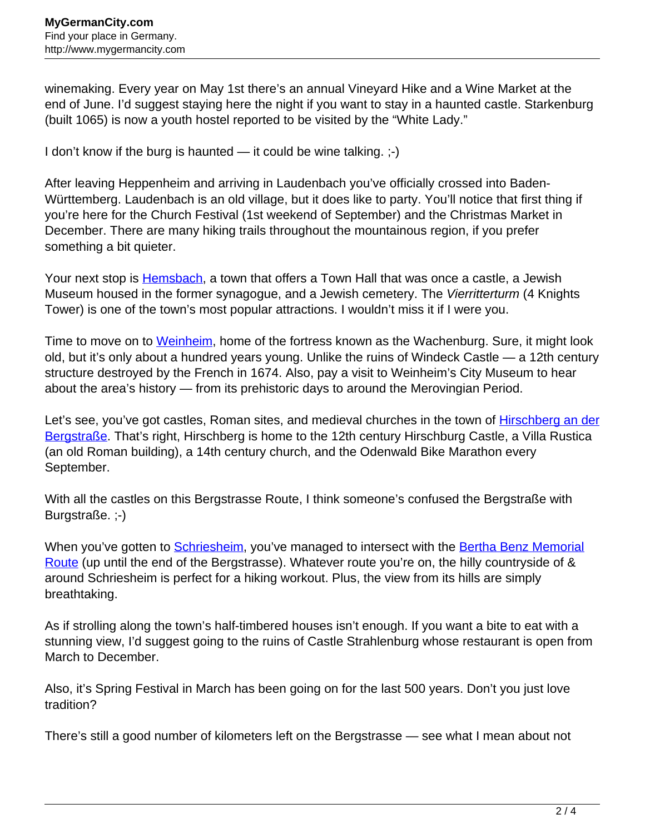winemaking. Every year on May 1st there's an annual Vineyard Hike and a Wine Market at the end of June. I'd suggest staying here the night if you want to stay in a haunted castle. Starkenburg (built 1065) is now a youth hostel reported to be visited by the "White Lady."

I don't know if the burg is haunted — it could be wine talking. ;-)

After leaving Heppenheim and arriving in Laudenbach you've officially crossed into Baden-Württemberg. Laudenbach is an old village, but it does like to party. You'll notice that first thing if you're here for the Church Festival (1st weekend of September) and the Christmas Market in December. There are many hiking trails throughout the mountainous region, if you prefer something a bit quieter.

Your next stop is **Hemsbach**, a town that offers a Town Hall that was once a castle, a Jewish Museum housed in the former synagogue, and a Jewish cemetery. The *Vierritterturm* (4 Knights Tower) is one of the town's most popular attractions. I wouldn't miss it if I were you.

Time to move on to [Weinheim,](http://www.mygermancity.com/weinheim) home of the fortress known as the Wachenburg. Sure, it might look old, but it's only about a hundred years young. Unlike the ruins of Windeck Castle — a 12th century structure destroyed by the French in 1674. Also, pay a visit to Weinheim's City Museum to hear about the area's history — from its prehistoric days to around the Merovingian Period.

Let's see, you've got castles, Roman sites, and medieval churches in the town of [Hirschberg an der](http://www.mygermancity.com/hirschberg-bergstrasse) [Bergstraße.](http://www.mygermancity.com/hirschberg-bergstrasse) That's right, Hirschberg is home to the 12th century Hirschburg Castle, a Villa Rustica (an old Roman building), a 14th century church, and the Odenwald Bike Marathon every September.

With all the castles on this Bergstrasse Route, I think someone's confused the Bergstraße with Burgstraße. ;-)

When you've gotten to [Schriesheim](http://www.mygermancity.com/schriesheim), you've managed to intersect with the [Bertha Benz Memorial](http://www.mygermancity.com/bertha-benz-memorial-route) [Route](http://www.mygermancity.com/bertha-benz-memorial-route) (up until the end of the Bergstrasse). Whatever route you're on, the hilly countryside of & around Schriesheim is perfect for a hiking workout. Plus, the view from its hills are simply breathtaking.

As if strolling along the town's half-timbered houses isn't enough. If you want a bite to eat with a stunning view, I'd suggest going to the ruins of Castle Strahlenburg whose restaurant is open from March to December.

Also, it's Spring Festival in March has been going on for the last 500 years. Don't you just love tradition?

There's still a good number of kilometers left on the Bergstrasse — see what I mean about not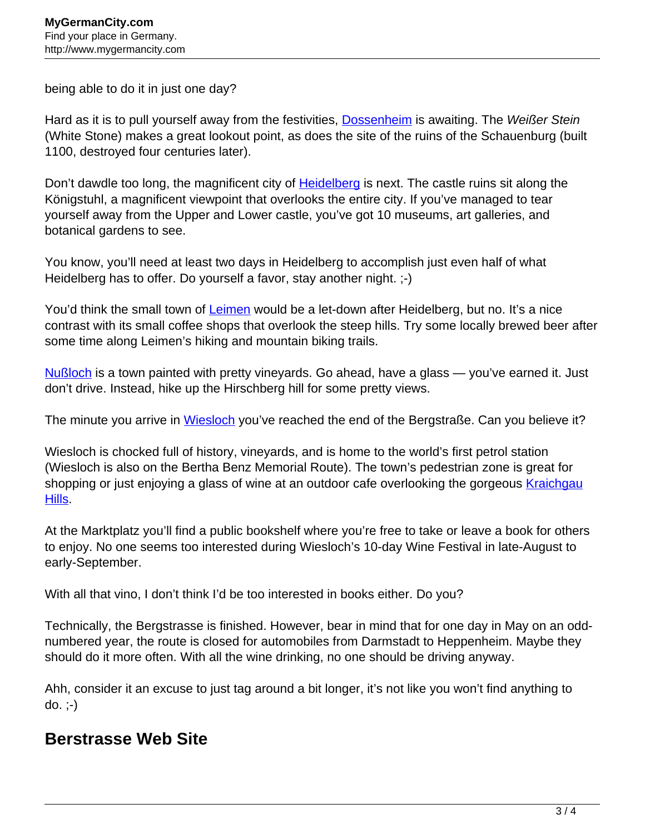being able to do it in just one day?

Hard as it is to pull yourself away from the festivities, **[Dossenheim](http://www.mygermancity.com/dossenheim)** is awaiting. The Weißer Stein (White Stone) makes a great lookout point, as does the site of the ruins of the Schauenburg (built 1100, destroyed four centuries later).

Don't dawdle too long, the magnificent city of **Heidelberg** is next. The castle ruins sit along the Königstuhl, a magnificent viewpoint that overlooks the entire city. If you've managed to tear yourself away from the Upper and Lower castle, you've got 10 museums, art galleries, and botanical gardens to see.

You know, you'll need at least two days in Heidelberg to accomplish just even half of what Heidelberg has to offer. Do yourself a favor, stay another night. ;-)

You'd think the small town of [Leimen](http://www.mygermancity.com/leimen) would be a let-down after Heidelberg, but no. It's a nice contrast with its small coffee shops that overlook the steep hills. Try some locally brewed beer after some time along Leimen's hiking and mountain biking trails.

[Nußloch](http://www.mygermancity.com/nussloch) is a town painted with pretty vineyards. Go ahead, have a glass — you've earned it. Just don't drive. Instead, hike up the Hirschberg hill for some pretty views.

The minute you arrive in [Wiesloch](http://www.mygermancity.com/wiesloch) you've reached the end of the Bergstraße. Can you believe it?

Wiesloch is chocked full of history, vineyards, and is home to the world's first petrol station (Wiesloch is also on the Bertha Benz Memorial Route). The town's pedestrian zone is great for shopping or just enjoying a glass of wine at an outdoor cafe overlooking the gorgeous [Kraichgau](http://www.mygermancity.com/kraichgau) [Hills](http://www.mygermancity.com/kraichgau).

At the Marktplatz you'll find a public bookshelf where you're free to take or leave a book for others to enjoy. No one seems too interested during Wiesloch's 10-day Wine Festival in late-August to early-September.

With all that vino, I don't think I'd be too interested in books either. Do you?

Technically, the Bergstrasse is finished. However, bear in mind that for one day in May on an oddnumbered year, the route is closed for automobiles from Darmstadt to Heppenheim. Maybe they should do it more often. With all the wine drinking, no one should be driving anyway.

Ahh, consider it an excuse to just tag around a bit longer, it's not like you won't find anything to do. ;-)

## **Berstrasse Web Site**